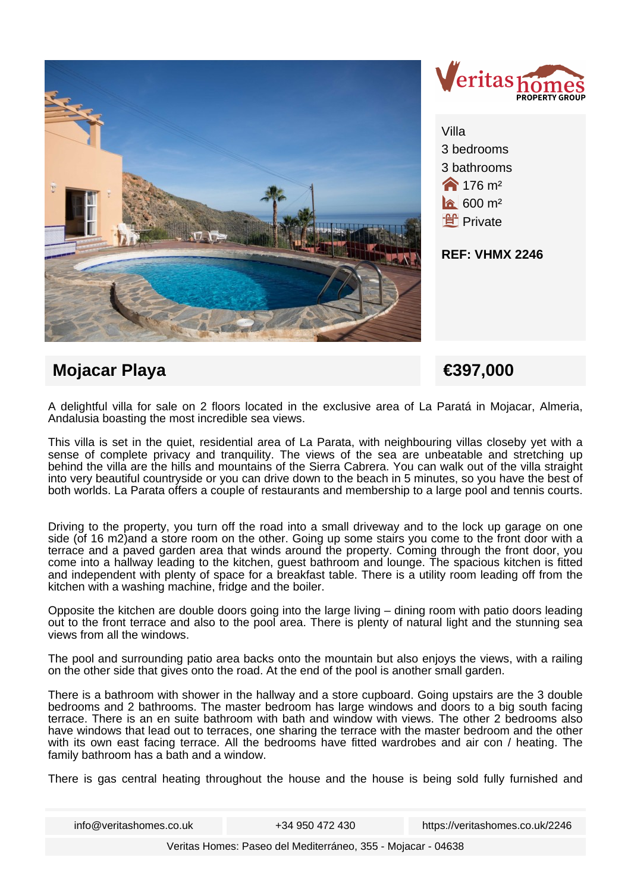



Villa 3 bedrooms 3 bathrooms **176 m<sup>2</sup>**  $600 \text{ m}^2$ **f** Private

**REF: VHMX 2246**

# **Mojacar Playa €397,000**

A delightful villa for sale on 2 floors located in the exclusive area of La Paratá in Mojacar, Almeria, Andalusia boasting the most incredible sea views.

This villa is set in the quiet, residential area of La Parata, with neighbouring villas closeby yet with a sense of complete privacy and tranquility. The views of the sea are unbeatable and stretching up behind the villa are the hills and mountains of the Sierra Cabrera. You can walk out of the villa straight into very beautiful countryside or you can drive down to the beach in 5 minutes, so you have the best of both worlds. La Parata offers a couple of restaurants and membership to a large pool and tennis courts.

Driving to the property, you turn off the road into a small driveway and to the lock up garage on one side (of 16 m2) and a store room on the other. Going up some stairs you come to the front door with a terrace and a paved garden area that winds around the property. Coming through the front door, you come into a hallway leading to the kitchen, guest bathroom and lounge. The spacious kitchen is fitted and independent with plenty of space for a breakfast table. There is a utility room leading off from the kitchen with a washing machine, fridge and the boiler.

Opposite the kitchen are double doors going into the large living – dining room with patio doors leading out to the front terrace and also to the pool area. There is plenty of natural light and the stunning sea views from all the windows.

The pool and surrounding patio area backs onto the mountain but also enjoys the views, with a railing on the other side that gives onto the road. At the end of the pool is another small garden.

There is a bathroom with shower in the hallway and a store cupboard. Going upstairs are the 3 double bedrooms and 2 bathrooms. The master bedroom has large windows and doors to a big south facing terrace. There is an en suite bathroom with bath and window with views. The other 2 bedrooms also have windows that lead out to terraces, one sharing the terrace with the master bedroom and the other with its own east facing terrace. All the bedrooms have fitted wardrobes and air con / heating. The family bathroom has a bath and a window.

There is gas central heating throughout the house and the house is being sold fully furnished and

info@veritashomes.co.uk +34 950 472 430 https://veritashomes.co.uk/2246

Veritas Homes: Paseo del Mediterráneo, 355 - Mojacar - 04638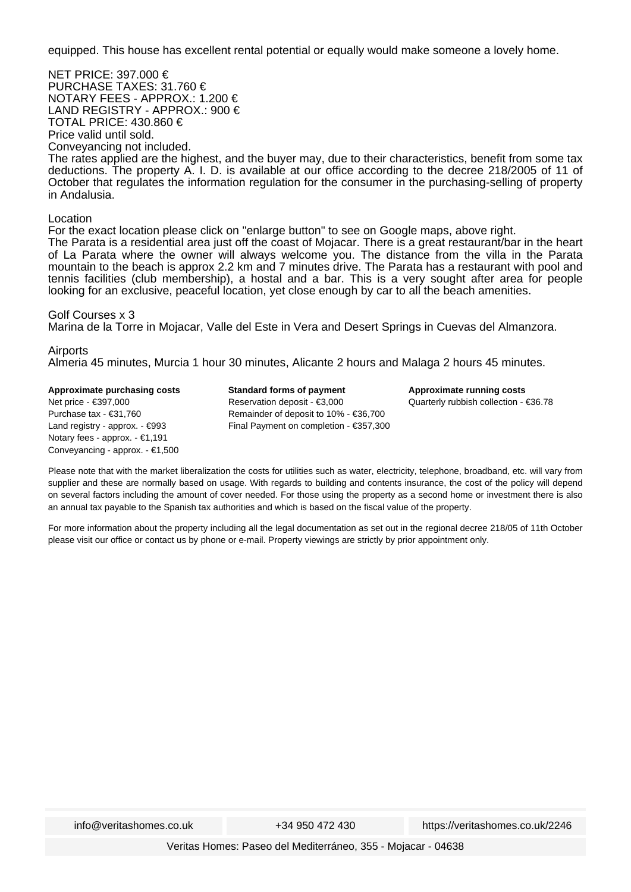equipped. This house has excellent rental potential or equally would make someone a lovely home.

NET PRICE: 397.000 € PURCHASE TAXES: 31.760 € NOTARY FEES - APPROX.: 1.200 € LAND REGISTRY - APPROX.: 900 € TOTAL PRICE: 430.860 € Price valid until sold. Conveyancing not included. The rates applied are the highest, and the buyer may, due to their characteristics, benefit from some tax deductions. The property A. I. D. is available at our office according to the decree 218/2005 of 11 of October that regulates the information regulation for the consumer in the purchasing-selling of property in Andalusia.

#### Location

For the exact location please click on "enlarge button" to see on Google maps, above right. The Parata is a residential area just off the coast of Mojacar. There is a great restaurant/bar in the heart of La Parata where the owner will always welcome you. The distance from the villa in the Parata mountain to the beach is approx 2.2 km and 7 minutes drive. The Parata has a restaurant with pool and tennis facilities (club membership), a hostal and a bar. This is a very sought after area for people looking for an exclusive, peaceful location, yet close enough by car to all the beach amenities.

#### Golf Courses x 3

Marina de la Torre in Mojacar, Valle del Este in Vera and Desert Springs in Cuevas del Almanzora.

### Airports

Almeria 45 minutes, Murcia 1 hour 30 minutes, Alicante 2 hours and Malaga 2 hours 45 minutes.

**Approximate purchasing costs** Net price - €397,000 Purchase tax - €31,760 Land registry - approx. - €993 Notary fees - approx. - €1,191 Conveyancing - approx. - €1,500 **Standard forms of payment** Reservation deposit - €3,000 Remainder of deposit to 10% - €36,700 Final Payment on completion - €357,300 **Approximate running costs** Quarterly rubbish collection - €36.78

Please note that with the market liberalization the costs for utilities such as water, electricity, telephone, broadband, etc. will vary from supplier and these are normally based on usage. With regards to building and contents insurance, the cost of the policy will depend on several factors including the amount of cover needed. For those using the property as a second home or investment there is also an annual tax payable to the Spanish tax authorities and which is based on the fiscal value of the property.

For more information about the property including all the legal documentation as set out in the regional decree 218/05 of 11th October please visit our office or contact us by phone or e-mail. Property viewings are strictly by prior appointment only.